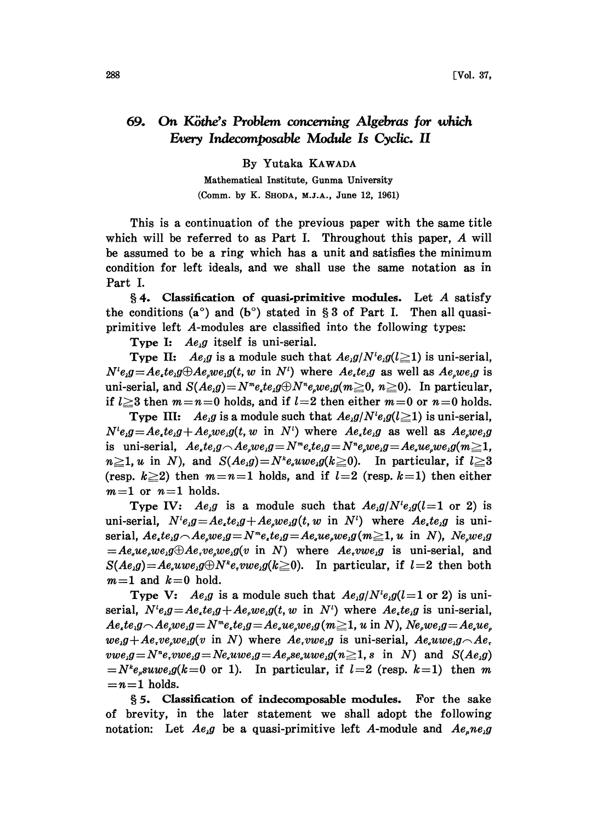## 69. On Köthe's Problem concerning Algebras for which Every Indecomposable Module Is Cyclic. II

By Yutaka KAWADA

Mathematical Institute, Gunma University (Comm. by K. SHODA, M.J.A., June 12, 1961)

This is a continuation of the previous paper with the same title which will be referred to as Part I. Throughout this paper, A will be assumed to be a ring which has a unit and satisfies the minimum condition for left ideals, and we shall use the same notation as in Part I.

 $§$  4. Classification of quasi-primitive modules. Let A satisfy the conditions (a<sup>o</sup>) and (b<sup>o</sup>) stated in § 3 of Part I. Then all quasiprimitive left A-modules are classified into the following types:

Type I:  $Ae_i g$  itself is uni-serial.

**Type II:** Ae<sub>i</sub>g is a module such that  $Ae_i g/N^i e_i g(l \ge 1)$  is uni-serial,  $N^{i}e_{i}g = Ae_{i}te_{i}g \oplus Ae_{i}we_{i}g(t, w \text{ in } N^{i})$  where  $Ae_{i}te_{i}g$  as well as  $Ae_{i}we_{i}g$  is uni-serial, and  $S(Ae,g) = N^m e_{\mu}te_{\mu}g \oplus N^n e_{\mu}we_{\mu}g(m\geq 0, n\geq 0)$ . In particular, if  $l \geq 3$  then  $m=n=0$  holds, and if  $l=2$  then either  $m=0$  or  $n=0$  holds.

Type III: Ae<sub>i</sub>g is a module such that  $Ae_i g/N^i e_i g(l \ge 1)$  is uni-serial,  $N^{i}e_{i}g=Ae_{i}te_{i}g+Ae_{i}we_{i}g(t, w \text{ in } N^{i})$  where  $Ae_{i}te_{i}g$  as well as  $Ae_{i}we_{i}g(t, w \text{ in } N^{i})$ is uni-serial,  $Ae_{i}te_{i}g \frown Ae_{i}we_{i}g = N_{i}ee_{i}g = N_{i}ee_{i}we_{i}g = Ae_{i}ue_{i}we_{i}g$  $n\geq 1$ , u in N), and  $S(Ae_k g) = N^k e_k u w e_k g(k\geq 0)$ . In particular, if  $l\geq 3$ (resp.  $k\geq 2$ ) then  $m=n=1$  holds, and if  $l=2$  (resp.  $k=1$ ) then either  $m=1$  or  $n=1$  holds.

Type IV:  $Ae_{i}g$  is a module such that  $Ae_{i}g/N^{i}e_{i}g(l=1 \text{ or } 2)$  is uni-serial,  $N^{i}e_{i}g = Ae_{i}te_{i}g + Ae_{i}we_{i}g(t, w \text{ in } N^{i})$  where  $Ae_{i}te_{i}g$  is uniserial,  $Ae_{\mu}te_{\mu}g - Ae_{\mu}we_{\mu}g = N^me_{\mu}te_{\mu}g = Ae_{\mu}ue_{\mu}g$  (m  $\geq 1$ , u in N), Ne,we,g  $= Ae<sub>a</sub>ue<sub>b</sub>we<sub>1</sub>g \oplus Ae<sub>c</sub>ve<sub>a</sub>we<sub>1</sub>g(v \text{ in } N)$  where  $Ae<sub>c</sub>we<sub>1</sub>g \text{ is uni-serial, and}$  $S(Ae_k g) = Ae_k uwe_k g \oplus N^k e_r vwe_k g (k \ge 0)$ . In particular, if  $l=2$  then both  $m=1$  and  $k=0$  hold.

Type V:  $Ae_1g$  is a module such that  $Ae_1g/N^{\dagger}e_1g(l=1 \text{ or } 2)$  is uniserial,  $N^{i}e_{i}g = Ae_{i}te_{i}g + Ae_{i}we_{i}g(t, w \text{ in } N^{i})$  where  $Ae_{i}te_{i}g$  is uni-serial,  $Ae_{i}te_{i}g\wedge Ae_{i}we_{i}g = N^{m}e_{i}te_{i}g = Ae_{i}ue_{i}we_{i}g$  ( $m\geq1$ , u in N),  $Ne_{i}we_{i}g = Ae_{i}ue_{i}$  $we,g+Ae, we,wg(v \text{ in } N)$  where  $Ae, vwe,g$  is uni-serial,  $Ae, uwe,g\hat{A}e$ .  $vwe_ig = N^n e, vwe_ig = Ne_quwe_ig = Ae_use_,uwe_ig(n \geq 1, s \text{ in } N)$  and  $S(Ae_ig)$  $N^k e_{\mu} s u w e_{\mu} g(k=0 \text{ or } 1)$ . In particular, if  $l=2$  (resp.  $k=1$ ) then m  $n=1$  holds.

5. Classification of indecomposable modules. For the sake of brevity, in the later statement we shall adopt the following notation: Let  $Ae_{i}g$  be a quasi-primitive left A-module and  $Ae_{i}ne_{i}g$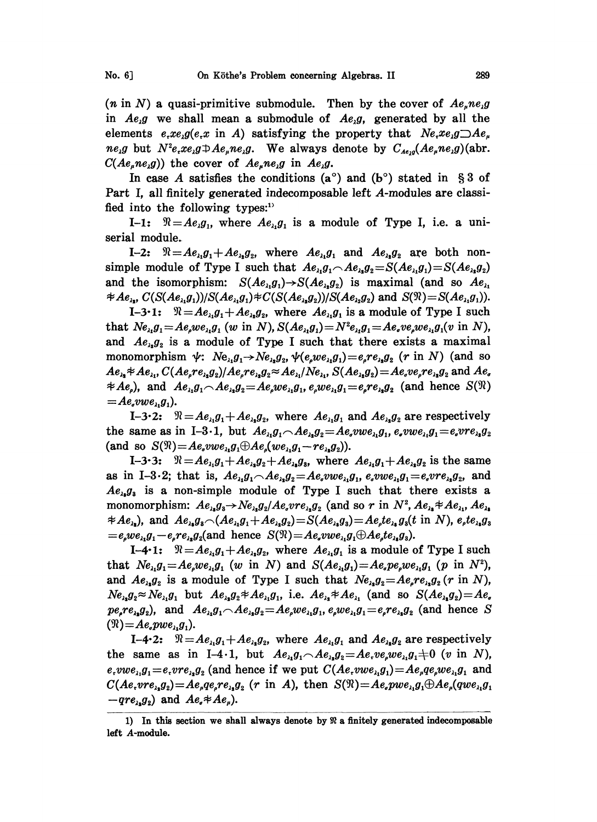(*n* in N) a quasi-primitive submodule. Then by the cover of  $Ae_{\mu}ne_{\mu}g$ in  $Ae_1g$  we shall mean a submodule of  $Ae_1g$ , generated by all the elements  $e_x x e_y g(e_x x \text{ in } A)$  satisfying the property that  $Ne_x x e_y g \rightarrow Ae_y$  $ne_{i}g$  but  $N^{2}e_{i}xe_{i}g \oplus Ae_{i}ne_{i}g$ . We always denote by  $C_{Ae_{i}g}(Ae_{i}ne_{i}g)(abr)$ .  $C(Ae<sub>n</sub>ne<sub>1</sub>g)$  the cover of  $Ae<sub>n</sub>ne<sub>1</sub>g$  in  $Ae<sub>1</sub>g$ .

In case A satisfies the conditions  $(a^{\circ})$  and  $(b^{\circ})$  stated in § 3 of Part I, all finitely generated indecomposable left A-modules are classified into the following types: $<sup>1</sup>$ </sup>

I-1:  $\mathcal{R} = Ae_1g_1$ , where  $Ae_{\lambda_1}g_1$  is a module of Type I, i.e. a uniserial module.

I-2:  $\mathcal{R} = Ae_{\lambda_1}g_1 + Ae_{\lambda_2}g_2$ , where  $Ae_{\lambda_1}g_1$  and  $Ae_{\lambda_2}g_2$  are both nonsimple module of Type I such that  $Ae_{i_1}g_1 \frown Ae_{i_2}g_2 = S(Ae_{i_1}g_1) = S(Ae_{i_2}g_2)$ and the isomorphism:  $S(Ae_{\lambda_1}g_1) \rightarrow S(Ae_{\lambda_2}g_2)$  is maximal (and so  $Ae_{\lambda_1}$  $\#Ae_{\lambda_1}, C(S(Ae_{\lambda_1}g_1))/S(Ae_{\lambda_1}g_1)\#C(S(Ae_{\lambda_2}g_2))/S(Ae_{\lambda_2}g_2)$  and  $S(\mathfrak{N})=S(Ae_{\lambda_1}g_1).$ 

I-3.1:  $\mathcal{R} = Ae_{\lambda_1}g_1 + Ae_{\lambda_2}g_2$ , where  $Ae_{\lambda_1}g_1$  is a module of Type I such that  $Ne_{\lambda_1}g_1 = Ae_{\lambda_2}we_{\lambda_1}g_1$  (w in N),  $S(Ae_{\lambda_1}g_1) = N^2e_{\lambda_1}g_1 = Ae_{\lambda_2}ve_{\lambda_2}ge_{\lambda_1}g_1(v$  in N), and  $Ae_{i_2}g_2$  is a module of Type I such that there exists a maximal monomorphism  $\psi$ :  $Ne_{i_1}g_1 \rightarrow Ne_{i_2}g_2$ ,  $\psi(e_2we_{i_1}g_1)=e_2re_{i_2}g_2$  (r in N) (and so  $Ae_{\lambda_1}Ae_{\lambda_1}C(Ae_{\mu}re_{\lambda_2}g_2)/Ae_{\mu}re_{\lambda_2}g_2 \approx Ae_{\lambda_1}/Ne_{\lambda_1}S(Ae_{\lambda_2}g_2)=Ae_{\mu}ve_{\mu}re_{\lambda_2}g_2$  and  $Ae_{\mu}$  $\neq Ae_{\rho}$ ), and  $Ae_{\lambda_1}g_1 \frown Ae_{\lambda_2}g_2 = Ae_{\rho}we_{\lambda_1}g_1, e_{\rho}we_{\lambda_1}g_1 = e_{\rho}re_{\lambda_2}g_2$  (and hence  $S(\Re)$ )  $= Ae<sub>a</sub>vwe<sub>a</sub>, g<sub>1</sub>$ ).

I-3.2:  $\mathcal{R} = Ae_{\lambda_1}g_1 + Ae_{\lambda_2}g_2$ , where  $Ae_{\lambda_1}g_1$  and  $Ae_{\lambda_2}g_2$  are respectively  $\mathcal{R} = Ae_{i_1}g_1 + Ae_{i_2}g_2$ , where  $Ae_{i_1}g_1$  and  $Ae_{i_2}g_2$  are respectively<br>in I-3.1, but  $Ae_{i_1}g_1 \frown Ae_{i_2}g_2 = Ae_{i}vwe_{i_1}g_1$ ,  $e_{i}vwe_{i_1}g_1 = e_{i}ve_{i_2}g_2$ <br> $= Ae_{i}vwe_{i_1}g_1 \bigoplus Ae_{i}(we_{i_1}g_1 - re_{i_2}g_2)$ . the same as in I-3.1, but  $Ae_{\lambda_1}g_1 \frown Ae_{\lambda_2}g_2 = Ae_{\lambda}vw e_{\lambda_1}g_1, e_{\lambda}vw e_{\lambda_1}g_1 = e_{\lambda}vre_{\lambda_2}g_2$ (and so  $S(\mathfrak{R})=Ae_{\nu}we_{\lambda_1}g_{\lambda} \oplus Ae_{\nu}(we_{\lambda_1}g_{\lambda}-re_{\lambda_2}g_{\lambda}).$ 

I-3.3:  $\mathcal{R} = Ae_{\lambda_1}g_1 + Ae_{\lambda_2}g_2 + Ae_{\lambda_3}g_3$ , where  $Ae_{\lambda_1}g_1 + Ae_{\lambda_2}g_2$  is the same as in I-3.2; that is,  $Ae_{\lambda_1}g_1 \frown Ae_{\lambda_2} = Ae_{\sigma}vw e_{\lambda_1}g_1$ ,  $e_{\sigma}vw e_{\lambda_1}g_1 = e_{\sigma}v re_{\lambda_2}g_2$ , and  $Ae_{\lambda_1}g_{\lambda_2}$  is a non-simple module of Type I such that there exists a monomorphism:  $Ae_{\lambda_1}g_3 \rightarrow Ne_{\lambda_2}g_2/Ae_v v r e_{\lambda_1}g_2$  (and so r in  $N^2$ ,  $Ae_{\lambda_1}Ae_{\lambda_2}Ae_{\lambda_3}$ ,  $Ae_{\lambda_4}Ae_{\lambda_5}Ae_{\lambda_6}Ae_{\lambda_7}$  $\#Ae_{\lambda_1}$ , and  $Ae_{\lambda_2}g_3 \sim (Ae_{\lambda_1}g_1+Ae_{\lambda_2}g_2)=S(Ae_{\lambda_2}g_3)=Ae_{\lambda_1}te_{\lambda_2}g_3(t \text{ in } N), e_{\lambda_1}te_{\lambda_3}g_3$  $=e_{\rho}we_{\lambda_1}g_1-e_{\rho}re_{\lambda_2}g_2$  and hence  $S(\mathfrak{N})=Ae_{\rho}vw_{\lambda_1}g_1\oplus Ae_{\rho}te_{\lambda_2}g_3$ .

I-4.1:  $\mathcal{R} = Ae_{\lambda_1}g_1 + Ae_{\lambda_2}g_2$ , where  $Ae_{\lambda_1}g_1$  is a module of Type I such that  $Ne_{\lambda_1}g_1=Ae_{\lambda_2}we_{\lambda_1}g_1$  (w in N) and  $S(Ae_{\lambda_1}g_1)=Ae_{\lambda_2}pe_{\lambda_1}ve_{\lambda_1}$  (p in  $N^2$ ), and  $Ae_{\lambda_1}g_2$  is a module of Type I such that  $Ne_{\lambda_2}g_2 = Ae_{\lambda_1}ce_{\lambda_2}g_2$  (r in N),  $Ne_{\lambda_1}g_2 \approx Ne_{\lambda_1}g_1$  but  $Ae_{\lambda_2}g_2 \neq Ae_{\lambda_1}g_1$ , i.e.  $Ae_{\lambda_2} \neq Ae_{\lambda_1}$  (and so  $S(Ae_{\lambda_2}g_2) = Ae_{\lambda_2}$  $pe_{i}re_{i}g_{i}$ , and  $Ae_{i}g_{1} \frown Ae_{i}g_{2} = Ae_{i}we_{i}g_{1}, e_{i}we_{i}g_{1} = e_{i}re_{i}g_{2}$  (and hence S  $(\mathfrak{N})=Ae_{\epsilon}pwe_{\lambda_1}g_{\lambda_1}.$ 

I-4.2:  $\mathcal{R} = Ae_{i1}g_1 + Ae_{i2}g_2$ , where  $Ae_{i1}g_1$  and  $Ae_{i2}g_2$  are respectively the same as in I-4.1, but  $Ae_{\lambda_1}g_1 \frown Ae_{\lambda_2}g_2 = Ae_{\lambda_1}ve_{\lambda_2}we_{\lambda_1}g_1 + 0$  (*v* in *N*),  $e$ ,  $vwe_{\lambda_1}g_1=e$ ,  $vre_{\lambda_2}g_2$  (and hence if we put  $C(Ae$ ,  $vwe_{\lambda_1}g_1)=Ae_{\mu}qe_{\mu}we_{\lambda_1}g_1$  and  $C(Ae, vre_{\lambda_2}g_2) = Ae_{\mu}qe_{\mu}re_{\lambda_2}g_2$  (r in A), then  $S(\Re) = Ae_{\mu}pwe_{\lambda_1}g_1\oplus Ae_{\mu}(qwe_{\lambda_1}g_1)$  $-qre_{\lambda_2}g_{\lambda_2}$  and  $Ae_{\lambda} \neq Ae_{\mu}$ ).

<sup>1)</sup> In this section we shall always denote by  $\Re$  a finitely generated indecomposable left A-module.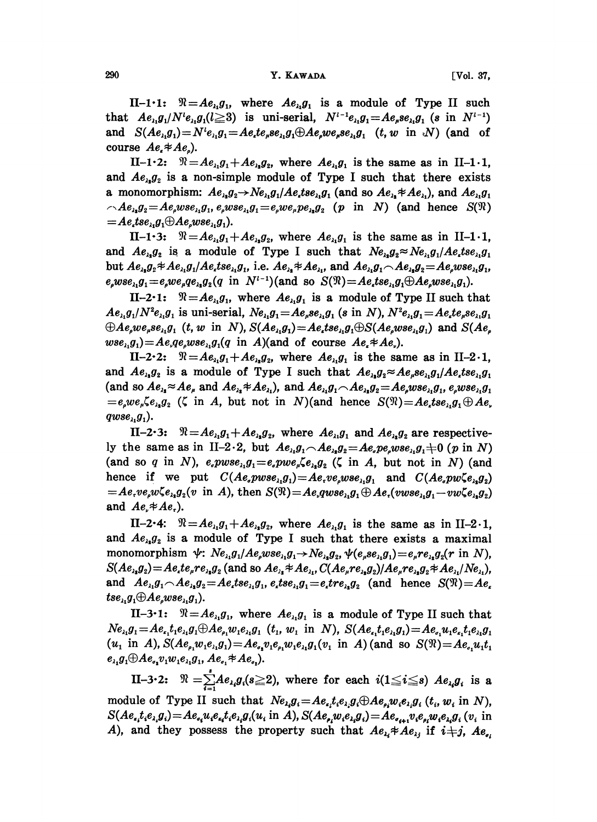II-1.1:  $\Re = Ae_{i}g_{i}$ , where  $Ae_{i}g_{i}$  is a module of Type II such that  $Ae_{\lambda_1}g_1/N^i e_{\lambda_1}g_1(l\geq 3)$  is uni-serial,  $N^{i-1}e_{\lambda_1}g_1 = Ae_{\mu}se_{\lambda_1}g_1$  (s in  $N^{i-1}$ ) and  $S(Ae_{\lambda_1}g_1) = N^t e_{\lambda_1}g_1 = Ae_{\lambda}te_{\mu}se_{\lambda_1}g_1 \oplus Ae_{\mu}ve_{\mu}se_{\lambda_1}g_1$  (*t*, *w* in N) (and of course  $Ae_{\epsilon} \neq Ae_{\epsilon}$ ).

II-1.2:  $\mathcal{R} = Ae_{\lambda_1}g_1 + Ae_{\lambda_2}g_2$ , where  $Ae_{\lambda_1}g_1$  is the same as in II-1.1, and  $Ae_{\lambda_1}g_{\lambda_2}$  is a non-simple module of Type I such that there exists a monomorphism:  $Ae_{\lambda_1}g_2 \rightarrow Ne_{\lambda_1}g_1/Ae_{\lambda_2}tse_{\lambda_1}g_1$  (and so  $Ae_{\lambda_2} \neq Ae_{\lambda_1}$ ), and  $Ae_{\lambda_1}g_1$  $\Lambda e_{\lambda_1} g_2 = A e_{\mu} w s e_{\lambda_1} g_1$ ,  $e_{\mu} w s e_{\lambda_1} g_1 = e_{\mu} w e_{\mu} p e_{\lambda_2} g_2$  (p in N) (and hence  $S(\mathfrak{N})$  $= A e_t t s e_{\lambda i} g_1 \oplus A e_s w s e_{\lambda i} g_1$ ).

II-1.3:  $\mathcal{R} = Ae_{\lambda_1}g_1 + Ae_{\lambda_2}g_2$ , where  $Ae_{\lambda_1}g_1$  is the same as in II-1.1, and  $Ae_{\lambda_1}g_2$  is a module of Type I such that  $Ne_{\lambda_1}g_2 \approx Ne_{\lambda_1}g_1/Ae_{\lambda_2}se_{\lambda_1}g_1$ but  $Ae_{\lambda_1}g_2 \neq Ae_{\lambda_1}g_1/Ae_{\lambda} tse_{\lambda_1}g_1$ , i.e.  $Ae_{\lambda_1} \neq Ae_{\lambda_1}$ , and  $Ae_{\lambda_1}g_1 \frown Ae_{\lambda_2}g_2 = Ae_{\lambda}wse_{\lambda_1}g_1$ ,  $e_{\rho}wse_{\lambda_1}g_1=e_{\rho}we_{\mu}qe_{\lambda_2}g_2(q \text{ in } N^{l-1})(\text{and so } S(\mathfrak{N})=Ae_{\mu}tse_{\lambda_1}g_1\oplus Ae_{\rho}wse_{\lambda_1}g_1).$ 

II-2.1:  $\mathfrak{R} = Ae_{\lambda_1}g_1$ , where  $Ae_{\lambda_2}g_1$  is a module of Type II such that  $Ae_{i_1}g_1/N^2e_{i_1}g_1$  is uni-serial,  $Ne_{i_1}g_1 = Ae_{i_1}se_{i_1}g_1$  (s in N),  $N^2e_{i_1}g_1 = Ae_{i_1}te_{i_1}se_{i_1}g_1$  $\bigoplus Ae_{s}we_{s}se_{s_{1}}g_{1}$  (t, w in N),  $S(Ae_{s_{1}}g_{1})=Ae_{s}tse_{s_{1}}g_{1}\bigoplus S(Ae_{s}wse_{s_{1}}g_{1})$  and  $S(Ae_{s})$  $wse_{\lambda_1}g_1$  =  $Ae_{\lambda}qe_{\lambda}wse_{\lambda_1}g_1(q \text{ in } A)$  (and of course  $Ae_{\lambda}Ae_{\lambda}$ ).

II-2.2:  $\Re = Ae_{\lambda_1}g_1 + Ae_{\lambda_2}g_2$ , where  $Ae_{\lambda_1}g_1$  is the same as in II-2.1, and  $Ae_{\lambda_1}g_2$  is a module of Type I such that  $Ae_{\lambda_1}g_2 \approx Ae_{\mu}se_{\lambda_1}g_1/Ae_{\mu}tse_{\lambda_1}g_1$ (and so  $Ae_{\lambda_1} \approx Ae_{\mu}$  and  $Ae_{\lambda_2} \neq Ae_{\lambda_1}$ ), and  $Ae_{\lambda_1}g_1 \wedge Ae_{\lambda_2}g_2 = Ae_{\mu}wse_{\lambda_1}g_1$ ,  $e_{\mu}wse_{\lambda_1}g_1$  $=e_{\rho}we_{\mu}\zeta e_{\lambda_1}g_{\lambda_2}$  ( $\zeta$  in A, but not in N)(and hence  $S(\mathfrak{N})=Ae_{\mu}tse_{\lambda_1}g_{\lambda}+Ae_{\mu}$  $qwse_{\lambda_1}g_1$ ).

II-2.3:  $\mathcal{R} = Ae_{\lambda_1}g_1 + Ae_{\lambda_2}g_2$ , where  $Ae_{\lambda_1}g_1$  and  $Ae_{\lambda_2}g_2$  are respectively the same as in II-2.2, but  $Ae_{\lambda_1}g_1 \wedge Ae_{\lambda_2}g_2 = Ae_{\lambda_1}pe_{\lambda_2}we_{\lambda_1}g_1 + 0$  (p in N) (and so q in N),  $e_a p w s e_{\lambda i} g_1 = e_a p w e_{\mu} \zeta e_{\lambda i} g_2$  ( $\zeta$  in A, but not in N) (and hence if we put  $C(Ae_n p w s e_{\lambda_1} g_1) = Ae_{\lambda_1} v e_{\lambda_2} w s e_{\lambda_1} g_1$  and  $C(Ae_n p w \zeta e_{\lambda_2} g_2)$  $= Ae_rve_nwe_{r_1}g_2(v \text{ in } A), \text{ then } S(\mathfrak{N}) = Ae_qwse_{r_1}g_1 \oplus Ae_r(vwse_{r_1}g_1 - vw\zeta e_{r_1}g_2)$ and  $Ae_{r} \neq Ae_{r}$ ).

II-2.4:  $\Re = Ae_{\lambda_1}g_1 + Ae_{\lambda_2}g_2$ , where  $Ae_{\lambda_1}g_1$  is the same as in II-2.1, and  $Ae_{\lambda}g_2$  is a module of Type I such that there exists a maximal monomorphism  $\psi: Ne_{\lambda_1}g_1/Ae_\nu wse_{\lambda_1}g_1 \to Ne_{\lambda_2}g_2$ ,  $\psi(e_\mu se_{\lambda_1}g_1) = e_\mu re_{\lambda_2}g_2(r \text{ in } N)$ ,  $S(Ae_{\lambda_1}g_2) = Ae_{\lambda_1}te_{\mu}re_{\lambda_1}g_2$  (and so  $Ae_{\lambda_2}Ae_{\lambda_1}$ ,  $C(Ae_{\mu}re_{\lambda_1}g_2)/Ae_{\mu}re_{\lambda_2}g_2Ae_{\lambda_1}/Ne_{\lambda_1}$ ), and  $Ae_{\lambda_1}g_1 \wedge Ae_{\lambda_2}g_2 = Ae_{\lambda_1}tse_{\lambda_1}g_1, e_{\lambda_2}te_{\lambda_1}g_1 = e_{\lambda_2}te_{\lambda_2}g_2$  (and hence  $S(\mathfrak{N}) = Ae_{\lambda_1}$  $tse_{\lambda}g_1 \oplus Ae_{\lambda}wse_{\lambda}g_1$ ).

II-3.1:  $\Re = Ae_{\lambda_1}g_1$ , where  $Ae_{\lambda_1}g_1$  is a module of Type II such that  $Ne_{\lambda_1}g_1 = Ae_{\lambda_1}t_1e_{\lambda_1}g_1 \oplus Ae_{\lambda_1}w_1e_{\lambda_1}g_1$  (t<sub>1</sub>, w<sub>1</sub> in N),  $S(Ae_{\lambda_1}t_1e_{\lambda_1}g_1) = Ae_{\lambda_1}u_1e_{\lambda_1}t_1e_{\lambda_1}g_1$  $(u_1 \text{ in } A), S(Ae_{\rho_1}w_1e_{\lambda_1}g_1) = Ae_{\rho_2}v_1e_{\rho_1}w_1e_{\lambda_1}g_1(v_1 \text{ in } A)$  (and so  $S(\mathfrak{N}) = Ae_{\rho_1}u_1t_1$  $e_{\lambda_1}g_1 \oplus Ae_{\sigma_2}v_1w_1e_{\lambda_1}g_1, Ae_{\sigma_1} \neq Ae_{\sigma_2}.$ 

II-3.2:  $\mathfrak{R} = \sum_{i=1}^{s} Ae_{i_i}g_i(s \geq 2)$ , where for each  $i(1 \leq i \leq s)$   $Ae_{i_i}g_i$  is a module of Type II such that  $Ne_{i,j}g_i = Ae_{i,j}t_ie_{i,j}g_i \oplus Ae_{i,j}w_ie_{i,j}g_i$   $(t_i, w_i \text{ in } N)$ ,  $S(Ae_{i_1}t_{i_2}e_{i_3}g_i) = Ae_{i_3}u_{i_1}e_{i_2}te_{i_3}g_i(u_i \text{ in } A), S(Ae_{i_1}w_{i_2}e_{i_3}g_i) = Ae_{i_4i_1}v_{i_1}e_{i_2}w_{i_3}e_{i_4}g_i(v_i \text{ in } A)$ A), and they possess the property such that  $Ae_{\lambda i} \neq Ae_{\lambda j}$  if  $i \neq j$ ,  $Ae_{\lambda i}$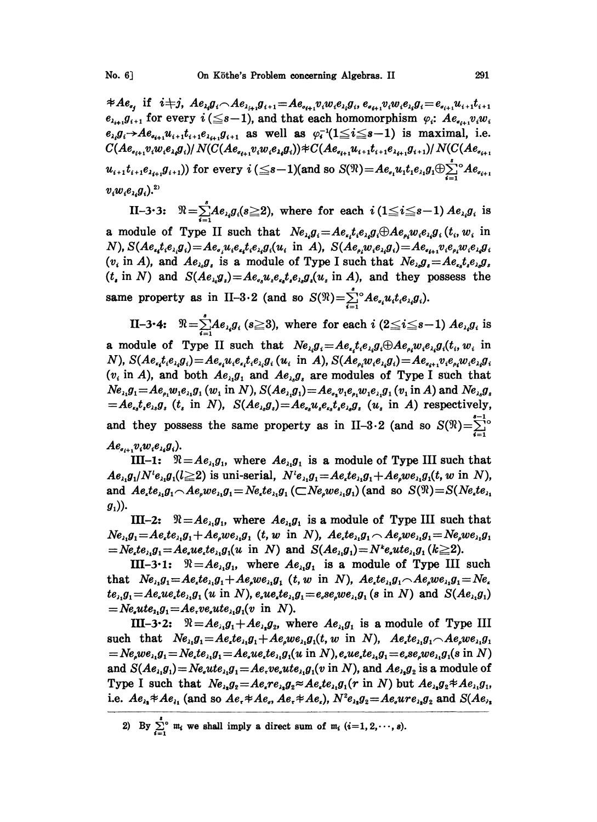$\neq Ae_{i}$  if  $i \neq j$ ,  $Ae_{i}g_{i} \frown Ae_{i+1}g_{i+1} = Ae_{i+1}v_{i}w_{i}e_{i}g_{i}$ ,  $e_{i+1}v_{i}w_{i}e_{i}g_{i} = e_{i+1}u_{i+1}t_{i+1}$ <br> $e_{i+1}g_{i+1}$  for every  $i \leq s-1$ ), and that each homomorphism  $\varphi_{i}: Ae_{i+1}v_{i}w_{i}$  $e_{i_i}g_i \rightarrow Ae_{i_{i+1}}u_{i+1}e_{i_{i+1}}g_{i+1}$  as well as  $\varphi_i^{-1}(1 \leq i \leq s-1)$  is maximal, i.e.  $C(Ae_{i_{i+1}}v_iw_ie_{i_i}g_i)/N(C(Ae_{i_{i+1}}v_iw_ie_{i_i}g_i))\neq C(Ae_{i_{i+1}}u_{i+1}t_{i+1}e_{i_{i+1}}g_{i+1})/N(C(Ae_{i_{i+1}}u_i))$  $u_{i+1}t_{i+1}e_{\lambda_{i+1}}g_{i+1}$ ) for every  $i \leq s-1$ )(and so  $S(\Re) = Ae_{i}u_1t_1e_{\lambda_1}g_1 \oplus \sum_{i=1}^{s} e_{\lambda_i}A_{i}g_{i+1}$  $v_iw_ie_{i,j}$ .<sup>2)</sup>

II-3.3:  $\Re = \sum_{i=1}^{n} Ae_{i}g_i(s \geq 2)$ , where for each  $i(1 \leq i \leq s-1)$ a module of Type II such that  $Ne_{i_i}g_i = Ae_{i_i}t_ie_{i_i}g_i \oplus Ae_{i_i}w_ie_{i_i}g_i$   $(t_i, w_i$  in<br>N),  $S(Ae_{i_i}t_ie_{i_i}g_i) = Ae_{i_i}u_ie_{i_i}t_ie_{i_i}g_i(u_i$  in A),  $S(Ae_{i_i}w_ie_{i_i}g_i) = Ae_{i_{i+1}}v_ie_{i_i}w_ie_{i_i}g_i$  $(v_i \text{ in } A)$ , and  $Ae_{i_k}g_i$  is a module of Type I such that  $Ne_{i_k}g_i = Ae_{i_k}t_ie_{i_k}g_i$  $(t_i \text{ in } N)$  and  $S(Ae_{\lambda_i}g_i) = Ae_{\sigma_i}u_ie_{\sigma_i}te_{\lambda_i}g_i(u_i \text{ in } A)$ , and they possess the same property as in II-3.2 (and so  $S(\mathfrak{N}) = \sum_{i=1}^{s} A e_{i} u_i t_i e_{i} g_i$ ).

II-3-4:  $\Re = \sum_{i=1}^{s} Ae_{i_i}g_i$  ( $s \ge 3$ ), where for each  $i$  ( $2 \le i \le s-1$ )  $Ae_{i_i}g_i$  is a module of Type II such that  $Ne_{i_1}g_i = Ae_i t_i e_{i_1}g_i \oplus Ae_{i_1}w_i e_{i_1}g_i(t_i, w_i$  in<br>N),  $S(Ae_{i_1}t_i e_{i_1}g_i) = Ae_{i_1}u_i e_{i_1}t_i e_{i_1}g_i(u_i$  in A),  $S(Ae_{i_1}w_i e_{i_1}g_i) = Ae_{i_1}v_i e_{i_1}w_i e_{i_1}g_i$  $(v_i$  in A), and both  $Ae_{\lambda_i}g_1$  and  $Ae_{\lambda_i}g_i$  are modules of Type I such that  $Ne_{\lambda_1}g_1 = Ae_{\rho_1}w_1e_{\lambda_1}g_1$  (w<sub>1</sub> in N),  $S(Ae_{\lambda_1}g_1) = Ae_{\rho_1}v_1e_{\rho_1}w_1e_{\lambda_1}g_1$  (v<sub>1</sub> in A) and  $Ne_{\lambda_2}g_1$  $=Ae_{i_1}t_ie_{i_2}g_i$  (t<sub>i</sub> in N),  $S(Ae_{i_3}g_i)=Ae_{i_3}u_ie_{i_4}te_{i_5}g_i$  (u<sub>i</sub> in A) respectively, and they possess the same property as in II-3.2 (and so  $S(\mathfrak{N})=\sum_{n=0}^{\infty}$ 

 $Ae_{i+1}v_iw_ie_{i}g_i$ .<br>III-1:  $\mathcal{R}=Ae_{i1}g_1$ , where  $Ae_{i1}g_1$  is a module of Type III such that  $Ae_{\lambda_1}g_1/N^i e_{\lambda_2}g_1(l\geq 2)$  is uni-serial,  $N^i e_{\lambda_1}g_1 = Ae_{\lambda_1}te_{\lambda_2}g_1 + Ae_{\lambda_1}we_{\lambda_1}g_1(t, w \text{ in } N)$ , and  $Ae_{i}te_{i1}g_{1} \frown Ae_{i}we_{i1}g_{1} = Ne_{i}te_{i1}g_{1} (\frown Ne_{i}we_{i1}g_{1})$  (and so  $S(\mathfrak{N}) = S(Ne_{i}te_{i1}g_{1})$  $g_1$ )).

III-2:  $\mathcal{R} = Ae_{\lambda_1}g_1$ , where  $Ae_{\lambda_1}g_1$  is a module of Type III such that  $Ne_{i_1}g_1 = Ae_{i}te_{i_1}g_1 + Ae_{i_2}we_{i_1}g_1$  (t, w in N),  $Ae_{i}te_{i_1}g_1 \frown Ae_{i_2}we_{i_1}g_1 = Ne_{i_2}we_{i_1}g_1$  $N = Ne_{\lambda}te_{\lambda_1}g_1 = Ae_{\lambda_2}ue_{\lambda_3}te_{\lambda_1}g_1(u \text{ in } N)$  and  $S(Ae_{\lambda_3}g_1) = N^k e_{\lambda_3}te_{\lambda_1}g_1 (k \geq 2).$ 

III-3-1:  $\Re = Ae_{\lambda_1}g_1$ , where  $Ae_{\lambda_2}g_1$  is a module of Type III such that  $Ne_{i_1}g_1 = Ae_{i_1}te_{i_1}g_1 + Ae_{i_2}we_{i_1}g_1$  (t, w in N),  $Ae_{i_1}te_{i_1}g_1 - Ae_{i_2}we_{i_1}g_1 = Ne_{i_1}$  $te_{i_1}g_1 = Ae_{i}ue_{i_1}te_{i_1}g_1$  (u in N),  $e_{i_1}ue_{i_2}te_{i_1}g_1 = e_{i_2}se_{i_1}we_{i_1}g_1$  (s in N) and  $S(Ae_{i_1}g_1)$  $N = Ne<sub>u</sub>ue<sub>11</sub>g<sub>1</sub> = Ae<sub>v</sub>ve<sub>v</sub>ute<sub>11</sub>g<sub>1</sub>(v in N).$ 

III-3.2:  $\mathcal{R} = Ae_{i_1}g_1 + Ae_{i_2}g_2$ , where  $Ae_{i_1}g_1$  is a module of Type III such that  $Ne_{\lambda_1}g_1 = Ae_{\lambda_2}te_{\lambda_3}g_1 + Ae_{\lambda_4}we_{\lambda_1}g_1(t, w \text{ in } N), Ae_{\lambda_4}te_{\lambda_1}g_1 \wedge Ae_{\lambda_2}we_{\lambda_3}g_1$  $N = Ne<sub>n</sub>we<sub>i</sub>, g<sub>1</sub> = Ne<sub>i</sub>te<sub>i</sub>, g<sub>1</sub> = Ae<sub>i</sub>ue<sub>i</sub>te<sub>i</sub>, g<sub>1</sub>(u in N), e<sub>i</sub>ue<sub>i</sub>te<sub>i</sub>, g<sub>1</sub> = e<sub>i</sub>se<sub>i</sub>we<sub>i</sub>, g<sub>1</sub>(s in N)$ and  $S(Ae_{\lambda_1}g_1) = Ne_{\lambda_2}ue_{\lambda_1}g_1 = Ae_{\lambda_2}ve_{\lambda_3}ue_{\lambda_1}g_1(v \text{ in } N)$ , and  $Ae_{\lambda_3}g_2$  is a module of Type I such that  $Ne_{\lambda_1}g_2 = Ae_{\lambda_1}ce_{\lambda_2}e_{\lambda_3}ce_{\lambda_4}ce_{\lambda_4}g_1(r \text{ in } N)$  but  $Ae_{\lambda_1}g_2 \neq Ae_{\lambda_1}g_1$ , i.e.  $Ae_{\lambda} * Ae_{\lambda}$  (and so  $Ae_{\lambda} * Ae_{\sigma}$ ,  $Ae_{\lambda} * Ae_{\epsilon}$ ),  $N^2e_{\lambda}g_2 = Ae_{\sigma}ure_{\lambda}g_2$  and  $S(Ae_{\lambda}$ 

<sup>2)</sup> By  $\sum_{i=1}^{s} m_i$  we shall imply a direct sum of  $m_i$  (i=1, 2, ..., s).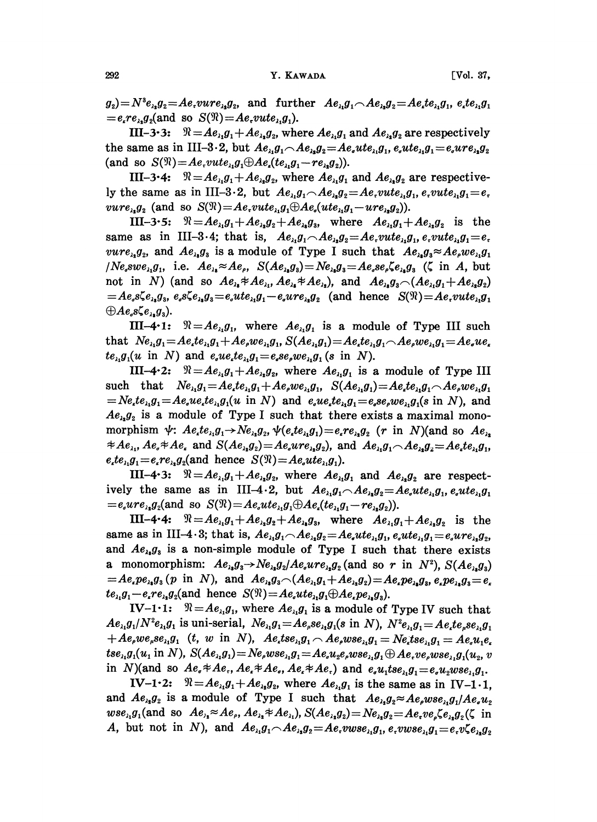$g_2 = N^3 e_{\lambda_1} g_2 = A e_r v u r e_{\lambda_2} g_2$ , and further  $A e_{\lambda_1} g_1 \wedge A e_{\lambda_2} g_2 = A e_r t e_{\lambda_1} g_1$ ,  $e_r t e_{\lambda_1} g_1$  $= e_{\epsilon} r e_{\lambda_2} g_2$  (and so  $S(\mathfrak{N}) = A e_{\epsilon} v u t e_{\lambda_1} g_1$ ).

III-3.3:  $\mathcal{R} = Ae_{\lambda_1}g_1 + Ae_{\lambda_2}g_2$ , where  $Ae_{\lambda_1}g_1$  and  $Ae_{\lambda_2}g_2$  are respectively the same as in III-3.2, but  $Ae_{\lambda_1}g_1 \frown Ae_{\lambda_2}g_2 = Ae_{\lambda}ute_{\lambda_1}g_1$ ,  $e_{\lambda}ute_{\lambda_1}g_1 = e_{\lambda}ure_{\lambda_2}g_2$ (and so  $S(\mathfrak{N}) = Ae$ ,  $vute_{\lambda_1}g_1 \oplus Ae_{\lambda}(te_{\lambda_1}g_1-re_{\lambda_2}g_2)$ ).

III-3.4:  $\Re = Ae_{\lambda_1}g_1 + Ae_{\lambda_2}g_2$ , where  $Ae_{\lambda_1}g_1$  and  $Ae_{\lambda_2}g_2$  are respectively the same as in III-3.2, but  $Ae_{i_1}g_1 \frown Ae_{i_2}g_2 = Ae$ ,  $vute_{i_1}g_1$ ,  $e$ ,  $vute_{i_1}g_1 = e$ .  $vure_{\lambda_1}g_2$  (and so  $S(\mathfrak{N})=Ae$ ,  $vute_{\lambda_1}g_1 \oplus Ae_{\lambda}(ute_{\lambda_1}g_1-ure_{\lambda_2}g_2)).$ 

III-3.5:  $\Re = Ae_{\lambda_1}g_1 + Ae_{\lambda_2}g_2 + Ae_{\lambda_3}g_3$ , where  $Ae_{\lambda_1}g_1 + Ae_{\lambda_2}g_2$  is the same as in III-3.4; that is,  $Ae_{\lambda}g_1 \wedge Ae_{\lambda}g_2 = Ae$ ,  $vute_{\lambda}g_1$ ,  $e$ ,  $vute_{\lambda}g_1 = e$ .  $vure_{\lambda_2}g_2$ , and  $Ae_{\lambda_3}g_3$  is a module of Type I such that  $Ae_{\lambda_3}g_3 \approx Ae_{\mu}we_{\lambda_1}g_1$  $N e_s s w e_{i_1} g_1$ , i.e.  $A e_{i_2} \approx A e_s$ ,  $S(A e_{i_3} g_3) = N e_{i_4} g_3 = A e_s s e_s \zeta e_{i_3} g_3$  ( $\zeta$  in A, but not in N) (and so  $Ae_{\lambda_1}Ae_{\lambda_2}Ae_{\lambda_3}Ae_{\lambda_4}Ae_{\lambda_5}$ ), and  $Ae_{\lambda_1}g_3 \sim (Ae_{\lambda_1}g_1 + Ae_{\lambda_2}g_2)$  $= Ae_s \xi e_{\lambda_3} g_s, e_s \xi e_{\lambda_3} g_s = e_s u t e_{\lambda_1} g_1 - e_s u r e_{\lambda_2} g_2$  (and hence  $S(\mathfrak{N}) = Ae_s v u t e_{\lambda_1} g_1$  $\oplus Ae_s\zeta e_{\lambda_2}g_3).$ 

III-4.1:  $\Re = Ae_{\lambda_1}g_1$ , where  $Ae_{\lambda_1}g_1$  is a module of Type III such that  $Ne_{\lambda_1}g_1 = Ae_{\lambda}te_{\lambda_1}g_1 + Ae_{\lambda_2}we_{\lambda_1}g_1$ ,  $S(Ae_{\lambda_1}g_1) = Ae_{\lambda}te_{\lambda_1}g_1 \wedge Ae_{\lambda_2}we_{\lambda_1}g_1 = Ae_{\lambda}ue_{\lambda}$  $te_{\lambda_1}g_1(u \text{ in } N)$  and  $e_{\lambda_2}ue_{\lambda_3}te_{\lambda_4} = e_{\lambda_4}se_{\lambda_5}ue_{\lambda_1}g_1(s \text{ in } N).$ 

III-4.2:  $\Re = Ae_{\lambda_1}g_1 + Ae_{\lambda_2}g_2$ , where  $Ae_{\lambda_1}g_1$  is a module of Type III such that  $Ne_{\lambda_1}g_1 = Ae_{\lambda}te_{\lambda_1}g_1 + Ae_{\rho}we_{\lambda_1}g_1$ ,  $S(Ae_{\lambda_1}g_1) = Ae_{\lambda}te_{\lambda_1}g_1 \wedge Ae_{\rho}we_{\lambda_1}g_1$  $N = Ne_{i}te_{i1}g_{i1} = Ae_{i}ue_{i}te_{i1}g_{i}(u \text{ in } N)$  and  $e_{i}ue_{i}te_{i1}g_{i} = e_{i}se_{i}we_{i1}g_{i}(s \text{ in } N)$ , and  $Ae_{\lambda}g_{\lambda}$  is a module of Type I such that there exists a maximal monomorphism  $\psi$ :  $Ae_{i}te_{i1}g_{1} \rightarrow Ne_{i2}g_{2}$ ,  $\psi(e_{i}te_{i1}g_{1}) = e_{i}re_{i2}g_{2}$  (r in N)(and so  $Ae_{i2}$  $\#Ae_{\lambda_1}, Ae_{\lambda} \#Ae_{\lambda}$  and  $S(Ae_{\lambda_2}g_2) = Ae_{\lambda}ure_{\lambda_2}g_2$ , and  $Ae_{\lambda_1}g_1 \wedge Ae_{\lambda_2}g_2 = Ae_{\lambda}te_{\lambda_1}g_1$ ,  $e_{i}te_{i}g_{1}=e_{i}re_{i}g_{2}$  (and hence  $S(\mathfrak{N})=Ae_{i}ute_{i}g_{1}$ ).

III-4.3:  $\Re = Ae_{\lambda_1}g_1 + Ae_{\lambda_2}g_2$ , where  $Ae_{\lambda_1}g_1$  and  $Ae_{\lambda_2}g_2$  are respectively the same as in III-4.2, but  $Ae_{\lambda_1}g_1 \wedge Ae_{\lambda_2}g_2 = Ae_{\lambda}ute_{\lambda_1}g_1, e_{\lambda}ute_{\lambda_2}g_1$  $= e_{\alpha}ure_{\lambda_2}g_2(\text{and so }S(\mathfrak{N}) = Ae_{\alpha}ute_{\lambda_1}g_1 \oplus Ae_{\alpha}(te_{\lambda_1}g_1 - re_{\lambda_2}g_2)).$ 

III-4.4:  $\Re = Ae_{i_1}g_1 + Ae_{i_2}g_2 + Ae_{i_3}g_3$ , where  $Ae_{i_1}g_1 + Ae_{i_2}g_2$  is the same as in III-4.3; that is,  $Ae_{\lambda_1}g_1 \frown Ae_{\lambda_2}g_2 = Ae_{\lambda}ute_{\lambda_1}g_1, e_{\lambda}ute_{\lambda_1}g_1 = e_{\lambda}ure_{\lambda_2}g_2$ and  $Ae_{\lambda_1}g_{\lambda_3}$  is a non-simple module of Type I such that there exists a monomorphism:  $Ae_{\lambda_1}g_3 \rightarrow Ne_{\lambda_2}g_2/Ae_{\lambda_3}re_{\lambda_2}g_2$  (and so r in  $N^2$ ),  $S(Ae_{\lambda_3}g_3)$  $= Ae_{i}pe_{i}g_{3}(p \text{ in } N), \text{ and } Ae_{i}g_{3} \sim (Ae_{i}g_{1} + Ae_{i}g_{2}) = Ae_{i}pe_{i}g_{3}, e_{i}pe_{i}g_{3} = e_{i}$  $te_{\lambda_1}g_1-e_{\lambda_2}re_{\lambda_3}g_2$  (and hence  $S(\mathcal{R})=Ae_{\lambda}ute_{\lambda_1}g_1\oplus Ae_{\lambda}pe_{\lambda_2}g_3$ ).

IV-1.1:  $\Re = Ae_{i_1}g_1$ , where  $Ae_{i_1}g_1$  is a module of Type IV such that  $Ae_{\lambda_1}g_1/N^2e_{\lambda_1}g_1$  is uni-serial,  $Ne_{\lambda_1}g_1 = Ae_{\mu}se_{\lambda_1}g_1(s \text{ in } N), N^2e_{\lambda_1}g_1 = Ae_{\mu}te_{\mu}se_{\lambda_1}g_1$  $A + Ae_{\rho}we_{\mu}se_{\lambda_1}g_1$  (t, w in N),  $Ae_{\mu}tse_{\lambda_1}g_1 \wedge Ae_{\rho}wse_{\lambda_1}g_1 = Ne_{\mu}tse_{\lambda_1}g_1 = Ae_{\mu}u_1e_{\mu}$  $tse_{\lambda_1}g_1(u_1 \text{ in } N), S(Ae_{\lambda_1}g_1) = Ne_{\ell}wse_{\lambda_1}g_1 = Ae_{\ell}u_2e_{\ell}wse_{\lambda_1}g_1 \oplus Ae_{\ell}ve_{\ell}wse_{\lambda_1}g_1(u_2, v_1)$ in N)(and so  $Ae_{\sigma} * Ae_{\tau}$ ,  $Ae_{\tau} * Ae_{\sigma}$ ,  $Ae_{\tau} * Ae_{\tau}$ ) and  $e_{\sigma}u_1 tse_{\tau,}g_1 = e_{\sigma}u_2wse_{\tau,}g_1$ .

IV-1.2:  $\mathcal{R} = Ae_{\lambda_1}g_1 + Ae_{\lambda_2}g_2$ , where  $Ae_{\lambda_1}g_1$  is the same as in IV-1.1, and  $Ae_{\lambda_1}g_2$  is a module of Type I such that  $Ae_{\lambda_1}g_2 \approx Ae_{\mu}wse_{\lambda_1}g_1/Ae_{\mu}u_2$  $wse_{\lambda_1}g_1(\text{and so }Ae_{\lambda_2} \approx Ae_{\lambda_1}Ae_{\lambda_2} \neq Ae_{\lambda_1}), S(Ae_{\lambda_2}g_2) = Ne_{\lambda_2}g_2 = Ae_{\lambda_1}ve_{\rho} \xi e_{\lambda_2}g_2(\zeta \text{ in } \zeta)$ A, but not in N), and  $Ae_{\lambda_1}g_1 \wedge Ae_{\lambda_2}g_2 = Ae$ ,  $vwse_{\lambda_1}g_1$ ,  $e$ ,  $vwse_{\lambda_1}g_1 = e$ ,  $v\zeta e_{\lambda_2}g_2$